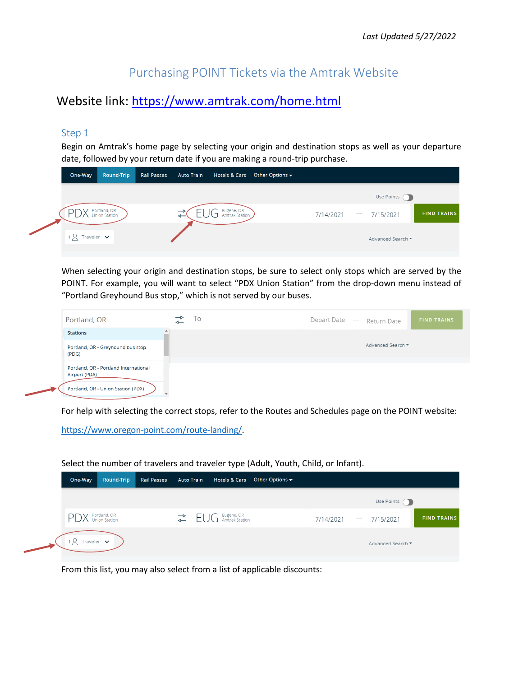# Purchasing POINT Tickets via the Amtrak Website

## Website link:<https://www.amtrak.com/home.html>

### Step 1

Begin on Amtrak's home page by selecting your origin and destination stops as well as your departure date, followed by your return date if you are making a round-trip purchase.

| One-Way                        | Round-Trip                    | <b>Rail Passes</b> | <b>Auto Train</b> | Hotels & Cars                | Other Options $\blacktriangledown$ |           |                   |                   |                    |
|--------------------------------|-------------------------------|--------------------|-------------------|------------------------------|------------------------------------|-----------|-------------------|-------------------|--------------------|
|                                |                               |                    |                   |                              |                                    |           |                   | Use Points (D)    |                    |
|                                | Portland, OR<br>Union Station |                    |                   | Eugene, OR<br>Amtrak Station |                                    | 7/14/2021 | $\hspace{0.05cm}$ | 7/15/2021         | <b>FIND TRAINS</b> |
| $\alpha$ Traveler $\mathbf{v}$ |                               |                    |                   |                              |                                    |           |                   | Advanced Search ▼ |                    |

When selecting your origin and destination stops, be sure to select only stops which are served by the POINT. For example, you will want to select "PDX Union Station" from the drop-down menu instead of "Portland Greyhound Bus stop," which is not served by our buses.

| Portland, OR                                                                                 | ⇽ | l o | Depart Date<br>$\hspace{0.1mm}$ | Return Date       | <b>FIND TRAINS</b> |
|----------------------------------------------------------------------------------------------|---|-----|---------------------------------|-------------------|--------------------|
| <b>Stations</b>                                                                              |   |     |                                 |                   |                    |
| Portland, OR - Greyhound bus stop<br>(PDG)                                                   |   |     |                                 | Advanced Search ▼ |                    |
| Portland, OR - Portland International<br>Airport (PDA)<br>Portland, OR - Union Station (PDX) |   |     |                                 |                   |                    |

For help with selecting the correct stops, refer to the Routes and Schedules page on the POINT website:

[https://www.oregon-point.com/route-landing/.](https://www.oregon-point.com/route-landing/)

#### One-Way Round-Trip Auto Train **Rail Passes** Hotels & Cars Other Options  $\overline{\bullet}$ Use Points ( EUG Eugene, OR PDX Portland, OR **FIND TRAINS** 7/14/2021 7/15/2021  $18$  Traveler Advanced Search

Select the number of travelers and traveler type (Adult, Youth, Child, or Infant).

From this list, you may also select from a list of applicable discounts: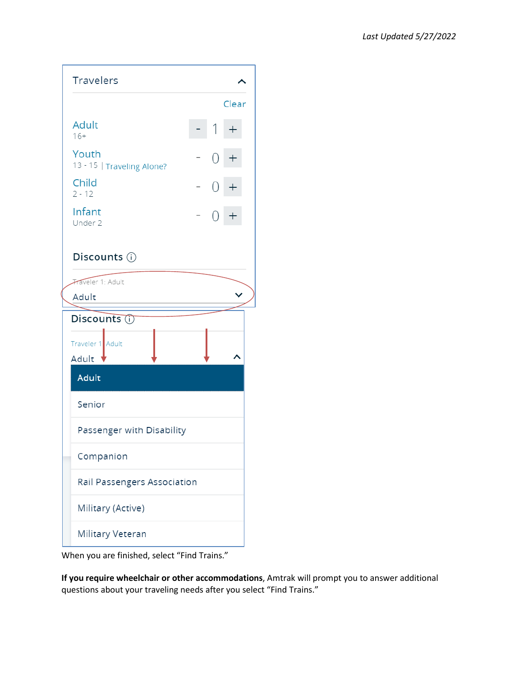| <b>Travelers</b>                    |  |       |  |
|-------------------------------------|--|-------|--|
|                                     |  | Clear |  |
| <b>Adult</b><br>$16+$               |  |       |  |
| Youth<br>13 - 15   Traveling Alone? |  |       |  |
| Child<br>$2 - 12$                   |  |       |  |
| Infant<br>Under 2                   |  |       |  |
| Discounts (i)                       |  |       |  |
| Traveler 1: Adult                   |  |       |  |
| Adult                               |  |       |  |
| Discounts (i)                       |  |       |  |
| Traveler 1 Adult                    |  |       |  |
| Adult                               |  |       |  |
| Adult                               |  |       |  |
| Senior                              |  |       |  |
| Passenger with Disability           |  |       |  |
| Companion                           |  |       |  |
| Rail Passengers Association         |  |       |  |
| Military (Active)                   |  |       |  |
| Military Veteran                    |  |       |  |

When you are finished, select "Find Trains."

**If you require wheelchair or other accommodations**, Amtrak will prompt you to answer additional questions about your traveling needs after you select "Find Trains."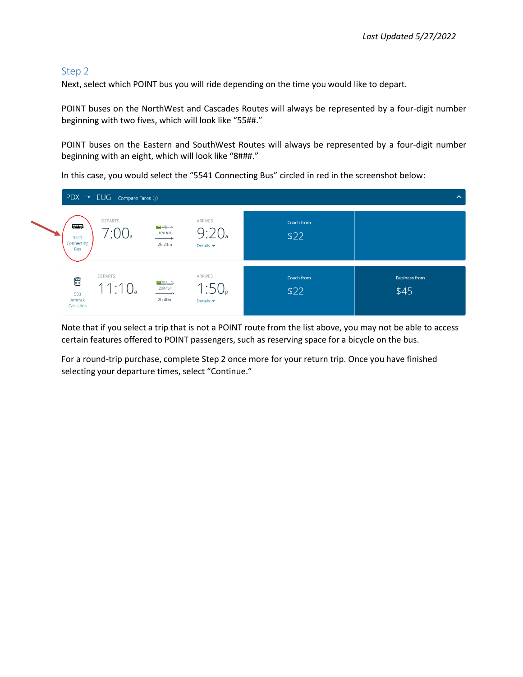#### Step 2

Next, select which POINT bus you will ride depending on the time you would like to depart.

POINT buses on the NorthWest and Cascades Routes will always be represented by a four-digit number beginning with two fives, which will look like "55##."

POINT buses on the Eastern and SouthWest Routes will always be represented by a four-digit number beginning with an eight, which will look like "8###."

In this case, you would select the "5541 Connecting Bus" circled in red in the screenshot below:

|                                             | $PDX \rightarrow EUG$ Compare Fares $\odot$ |                                   |                                                  |                    | $\boldsymbol{\wedge}$        |
|---------------------------------------------|---------------------------------------------|-----------------------------------|--------------------------------------------------|--------------------|------------------------------|
| ديدي<br>5541<br>Connecting<br><b>Bus</b>    | <b>DEPARTS</b>                              | $\bigoplus$<br>10% full<br>2h 20m | ARRIVES<br>9:20<br>Details $\blacktriangleright$ | Coach from<br>\$22 |                              |
| $\blacksquare$<br>503<br>Amtrak<br>Cascades | DEPARTS<br>11:10a                           | <b>888</b><br>20% full<br>2h 40m  | ARRIVES<br>Details $\blacktriangledown$          | Coach from<br>\$22 | <b>Business from</b><br>\$45 |

Note that if you select a trip that is not a POINT route from the list above, you may not be able to access certain features offered to POINT passengers, such as reserving space for a bicycle on the bus.

For a round-trip purchase, complete Step 2 once more for your return trip. Once you have finished selecting your departure times, select "Continue."